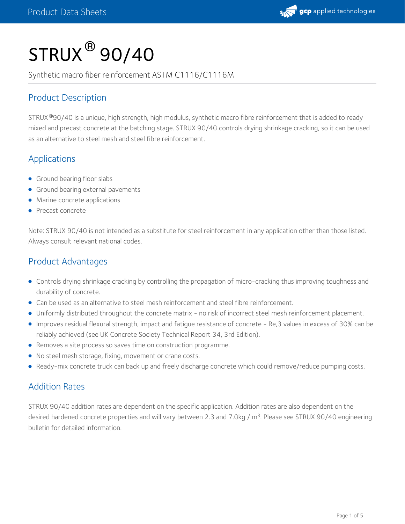

# $\mathsf{STRUX}^{\circledR}\mathsf{90/40}$

Synthetic macro fiber reinforcement ASTM C1116/C1116M

### Product Description

STRUX®90/40 is a unique, high strength, high modulus, synthetic macro fibre reinforcement that is added to ready mixed and precast concrete at the batching stage. STRUX 90/40 controls drying shrinkage cracking, so it can be used as an alternative to steel mesh and steel fibre reinforcement.

#### Applications

- **Ground bearing floor slabs**
- **Ground bearing external pavements**
- **•** Marine concrete applications
- Precast concrete

Note: STRUX 90/40 is not intended as a substitute for steel reinforcement in any application other than those listed. Always consult relevant national codes.

#### Product Advantages

- Controls drying shrinkage cracking by controlling the propagation of micro-cracking thus improving toughness and durability of concrete.
- Can be used as an alternative to steel mesh reinforcement and steel fibre reinforcement.
- Uniformly distributed throughout the concrete matrix no risk of incorrect steel mesh reinforcement placement.
- Improves residual flexural strength, impact and fatigue resistance of concrete Re,3 values in excess of 30% can be reliably achieved (see UK Concrete Society Technical Report 34, 3rd Edition).
- Removes a site process so saves time on construction programme.
- No steel mesh storage, fixing, movement or crane costs.
- Ready-mix concrete truck can back up and freely discharge concrete which could remove/reduce pumping costs.

#### Addition Rates

STRUX 90/40 addition rates are dependent on the specific application. Addition rates are also dependent on the desired hardened concrete properties and will vary between 2.3 and 7.0kg / m<sup>3</sup>. Please see STRUX 90/40 engineering bulletin for detailed information.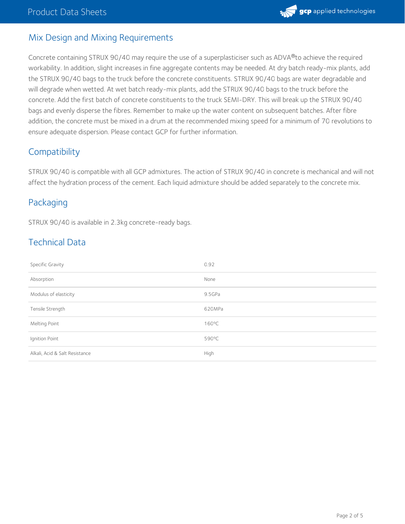

#### Mix Design and Mixing Requirements

Concrete containing STRUX 90/40 may require the use of a superplasticiser such as ADVA®to achieve the required workability. In addition, slight increases in fine aggregate contents may be needed. At dry batch ready-mix plants, add the STRUX 90/40 bags to the truck before the concrete constituents. STRUX 90/40 bags are water degradable and will degrade when wetted. At wet batch ready-mix plants, add the STRUX 90/40 bags to the truck before the concrete. Add the first batch of concrete constituents to the truck SEMI-DRY. This will break up the STRUX 90/40 bags and evenly disperse the fibres. Remember to make up the water content on subsequent batches. After fibre addition, the concrete must be mixed in a drum at the recommended mixing speed for a minimum of 70 revolutions to ensure adequate dispersion. Please contact GCP for further information.

#### **Compatibility**

STRUX 90/40 is compatible with all GCP admixtures. The action of STRUX 90/40 in concrete is mechanical and will not affect the hydration process of the cement. Each liquid admixture should be added separately to the concrete mix.

#### Packaging

STRUX 90/40 is available in 2.3kg concrete-ready bags.

#### Technical Data

| Specific Gravity               | 0.92            |
|--------------------------------|-----------------|
| Absorption                     | None            |
| Modulus of elasticity          | 9.5GPa          |
| Tensile Strength               | 620MPa          |
| Melting Point                  | $160^{\circ}$ C |
| Ignition Point                 | 590°C           |
| Alkali, Acid & Salt Resistance | High            |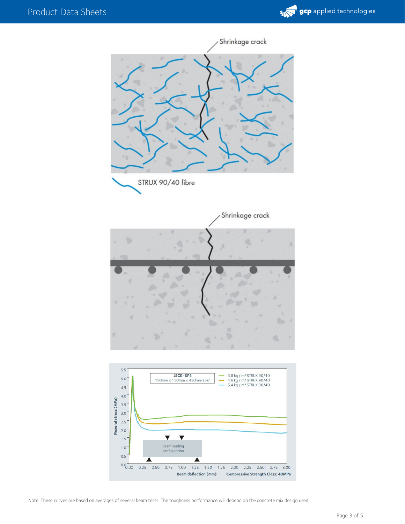



Note: These curves are based on averages of several beam tests. The toughness performance will depend on the concrete mix design used.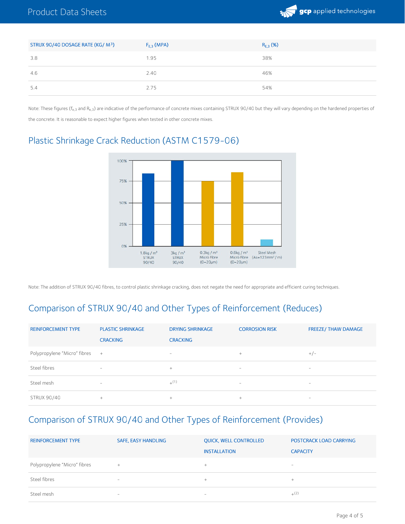

| STRUX 90/40 DOSAGE RATE (KG/ M <sup>3</sup> ) | $F_{E,3}$ (MPA) | $R_{E,3}$ (%) |
|-----------------------------------------------|-----------------|---------------|
| 3.8                                           | 1.95            | 38%           |
| 4.6                                           | 2.40            | 46%           |
| 5.4                                           | 2.75            | 54%           |

Note: These figures (f<sub>e.3</sub> and R<sub>e.3</sub>) are indicative of the performance of concrete mixes containing STRUX 90/40 but they will vary depending on the hardened properties of the concrete. It is reasonable to expect higher figures when tested in other concrete mixes.



#### Plastic Shrinkage Crack Reduction (ASTM C1579-06)

Note: The addition of STRUX 90/40 fibres, to control plastic shrinkage cracking, does not negate the need for appropriate and efficient curing techniques.

## Comparison of STRUX 90/40 and Other Types of Reinforcement (Reduces)

| <b>REINFORCEMENT TYPE</b>      | <b>PLASTIC SHRINKAGE</b><br><b>CRACKING</b>                               | <b>DRYING SHRINKAGE</b><br><b>CRACKING</b> | <b>CORROSION RISK</b>    | <b>FREEZE/ THAW DAMAGE</b> |
|--------------------------------|---------------------------------------------------------------------------|--------------------------------------------|--------------------------|----------------------------|
| Polypropylene "Micro" fibres + |                                                                           | -                                          | $^{+}$                   | $+/-$                      |
| Steel fibres                   | $\overline{\phantom{a}}$                                                  | $^{+}$                                     | $\overline{\phantom{a}}$ | -                          |
| Steel mesh                     | $\hspace{1.0cm} \rule{1.5cm}{0.15cm} \hspace{1.0cm} \rule{1.5cm}{0.15cm}$ | $+^{(1)}$                                  | $\overline{\phantom{a}}$ | $\overline{\phantom{a}}$   |
| <b>STRUX 90/40</b>             | $+$                                                                       | $^{+}$                                     | $^{+}$                   | $\overline{\phantom{a}}$   |

#### Comparison of STRUX 90/40 and Other Types of Reinforcement (Provides)

| <b>REINFORCEMENT TYPE</b>    | <b>SAFE, EASY HANDLING</b> | <b>OUICK, WELL CONTROLLED</b><br><b>INSTALLATION</b> | <b>POSTCRACK LOAD CARRYING</b><br><b>CAPACITY</b>                                                                                                                                                                                                                                                                                                            |
|------------------------------|----------------------------|------------------------------------------------------|--------------------------------------------------------------------------------------------------------------------------------------------------------------------------------------------------------------------------------------------------------------------------------------------------------------------------------------------------------------|
| Polypropylene "Micro" fibres | $\pm$                      | ÷.                                                   | $\hspace{1.0cm} \rule{1.5cm}{0.15cm} \hspace{1.0cm} \rule{1.5cm}{0.15cm} \hspace{1.0cm} \rule{1.5cm}{0.15cm} \hspace{1.0cm} \rule{1.5cm}{0.15cm} \hspace{1.0cm} \rule{1.5cm}{0.15cm} \hspace{1.0cm} \rule{1.5cm}{0.15cm} \hspace{1.0cm} \rule{1.5cm}{0.15cm} \hspace{1.0cm} \rule{1.5cm}{0.15cm} \hspace{1.0cm} \rule{1.5cm}{0.15cm} \hspace{1.0cm} \rule{1$ |
| Steel fibres                 | $\overline{\phantom{a}}$   | $\pm$                                                | ÷                                                                                                                                                                                                                                                                                                                                                            |
| Steel mesh                   | $\overline{\phantom{a}}$   | -                                                    | $+(2)$                                                                                                                                                                                                                                                                                                                                                       |